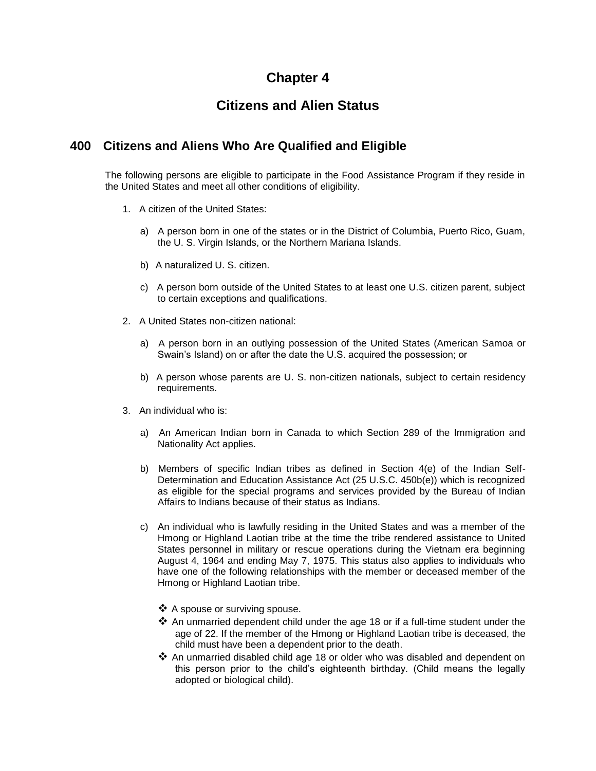## **Chapter 4**

# **Citizens and Alien Status**

### **400 Citizens and Aliens Who Are Qualified and Eligible**

The following persons are eligible to participate in the Food Assistance Program if they reside in the United States and meet all other conditions of eligibility.

- 1. A citizen of the United States:
	- a) A person born in one of the states or in the District of Columbia, Puerto Rico, Guam, the U. S. Virgin Islands, or the Northern Mariana Islands.
	- b) A naturalized U. S. citizen.
	- c) A person born outside of the United States to at least one U.S. citizen parent, subject to certain exceptions and qualifications.
- 2. A United States non-citizen national:
	- a) A person born in an outlying possession of the United States (American Samoa or Swain's Island) on or after the date the U.S. acquired the possession; or
	- b) A person whose parents are U. S. non-citizen nationals, subject to certain residency requirements.
- 3. An individual who is:
	- a) An American Indian born in Canada to which Section 289 of the Immigration and Nationality Act applies.
	- b) Members of specific Indian tribes as defined in Section 4(e) of the Indian Self-Determination and Education Assistance Act (25 U.S.C. 450b(e)) which is recognized as eligible for the special programs and services provided by the Bureau of Indian Affairs to Indians because of their status as Indians.
	- c) An individual who is lawfully residing in the United States and was a member of the Hmong or Highland Laotian tribe at the time the tribe rendered assistance to United States personnel in military or rescue operations during the Vietnam era beginning August 4, 1964 and ending May 7, 1975. This status also applies to individuals who have one of the following relationships with the member or deceased member of the Hmong or Highland Laotian tribe.
		- ❖ A spouse or surviving spouse.
		- $\clubsuit$  An unmarried dependent child under the age 18 or if a full-time student under the age of 22. If the member of the Hmong or Highland Laotian tribe is deceased, the child must have been a dependent prior to the death.
		- $\clubsuit$  An unmarried disabled child age 18 or older who was disabled and dependent on this person prior to the child's eighteenth birthday. (Child means the legally adopted or biological child).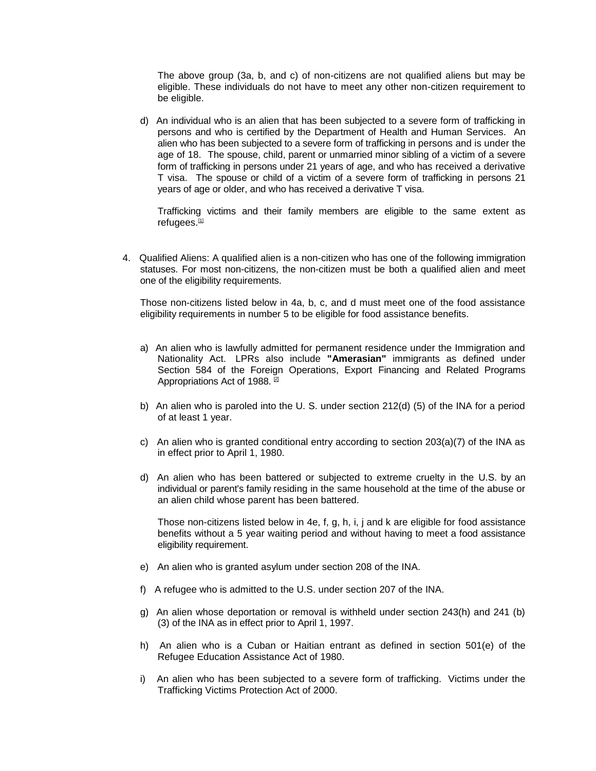The above group (3a, b, and c) of non-citizens are not qualified aliens but may be eligible. These individuals do not have to meet any other non-citizen requirement to be eligible.

d) An individual who is an alien that has been subjected to a severe form of trafficking in persons and who is certified by the Department of Health and Human Services. An alien who has been subjected to a severe form of trafficking in persons and is under the age of 18. The spouse, child, parent or unmarried minor sibling of a victim of a severe form of trafficking in persons under 21 years of age, and who has received a derivative T visa. The spouse or child of a victim of a severe form of trafficking in persons 21 years of age or older, and who has received a derivative T visa.

Trafficking victims and their family members are eligible to the same extent as refugees. $[1]$ 

4. Qualified Aliens: A qualified alien is a non-citizen who has one of the following immigration statuses. For most non-citizens, the non-citizen must be both a qualified alien and meet one of the eligibility requirements.

Those non-citizens listed below in 4a, b, c, and d must meet one of the food assistance eligibility requirements in number 5 to be eligible for food assistance benefits.

- a) An alien who is lawfully admitted for permanent residence under the Immigration and Nationality Act. LPRs also include **"Amerasian"** immigrants as defined under Section 584 of the Foreign Operations, Export Financing and Related Programs Appropriations Act of 1988.<sup>[\[2\]](http://dhr.alabama.gov/POE/chapter/CHAPTER%2004.htm#_ftn2)</sup>
- b) An alien who is paroled into the U. S. under section 212(d) (5) of the INA for a period of at least 1 year.
- c) An alien who is granted conditional entry according to section 203(a)(7) of the INA as in effect prior to April 1, 1980.
- d) An alien who has been battered or subjected to extreme cruelty in the U.S. by an individual or parent's family residing in the same household at the time of the abuse or an alien child whose parent has been battered.

Those non-citizens listed below in 4e, f, g, h, i, j and k are eligible for food assistance benefits without a 5 year waiting period and without having to meet a food assistance eligibility requirement.

- e) An alien who is granted asylum under section 208 of the INA.
- f) A refugee who is admitted to the U.S. under section 207 of the INA.
- g) An alien whose deportation or removal is withheld under section 243(h) and 241 (b) (3) of the INA as in effect prior to April 1, 1997.
- h) An alien who is a Cuban or Haitian entrant as defined in section 501(e) of the Refugee Education Assistance Act of 1980.
- i) An alien who has been subjected to a severe form of trafficking. Victims under the Trafficking Victims Protection Act of 2000.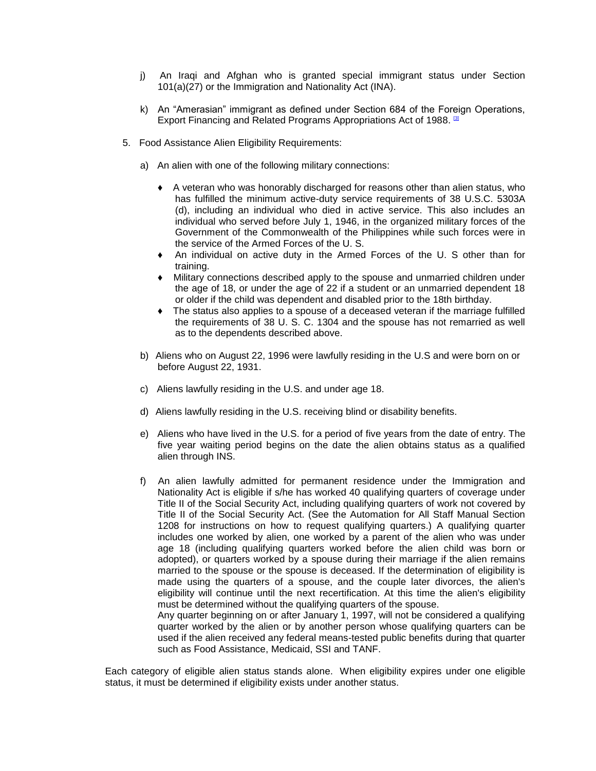- j) An Iraqi and Afghan who is granted special immigrant status under Section 101(a)(27) or the Immigration and Nationality Act (INA).
- k) An "Amerasian" immigrant as defined under Section 684 of the Foreign Operations, Export Financing and Related Programs Appropriations Act of 1988. [\[3\]](http://dhr.alabama.gov/POE/chapter/CHAPTER%2004.htm#_ftn3)
- 5. Food Assistance Alien Eligibility Requirements:
	- a) An alien with one of the following military connections:
		- ♦ A veteran who was honorably discharged for reasons other than alien status, who has fulfilled the minimum active-duty service requirements of 38 U.S.C. 5303A (d), including an individual who died in active service. This also includes an individual who served before July 1, 1946, in the organized military forces of the Government of the Commonwealth of the Philippines while such forces were in the service of the Armed Forces of the U. S.
		- An individual on active duty in the Armed Forces of the U. S other than for training.
		- ♦ Military connections described apply to the spouse and unmarried children under the age of 18, or under the age of 22 if a student or an unmarried dependent 18 or older if the child was dependent and disabled prior to the 18th birthday.
		- The status also applies to a spouse of a deceased veteran if the marriage fulfilled the requirements of 38 U. S. C. 1304 and the spouse has not remarried as well as to the dependents described above.
	- b) Aliens who on August 22, 1996 were lawfully residing in the U.S and were born on or before August 22, 1931.
	- c) Aliens lawfully residing in the U.S. and under age 18.
	- d) Aliens lawfully residing in the U.S. receiving blind or disability benefits.
	- e) Aliens who have lived in the U.S. for a period of five years from the date of entry. The five year waiting period begins on the date the alien obtains status as a qualified alien through INS.
	- f) An alien lawfully admitted for permanent residence under the Immigration and Nationality Act is eligible if s/he has worked 40 qualifying quarters of coverage under Title II of the Social Security Act, including qualifying quarters of work not covered by Title II of the Social Security Act. (See the Automation for All Staff Manual Section 1208 for instructions on how to request qualifying quarters.) A qualifying quarter includes one worked by alien, one worked by a parent of the alien who was under age 18 (including qualifying quarters worked before the alien child was born or adopted), or quarters worked by a spouse during their marriage if the alien remains married to the spouse or the spouse is deceased. If the determination of eligibility is made using the quarters of a spouse, and the couple later divorces, the alien's eligibility will continue until the next recertification. At this time the alien's eligibility must be determined without the qualifying quarters of the spouse.

Any quarter beginning on or after January 1, 1997, will not be considered a qualifying quarter worked by the alien or by another person whose qualifying quarters can be used if the alien received any federal means-tested public benefits during that quarter such as Food Assistance, Medicaid, SSI and TANF.

Each category of eligible alien status stands alone. When eligibility expires under one eligible status, it must be determined if eligibility exists under another status.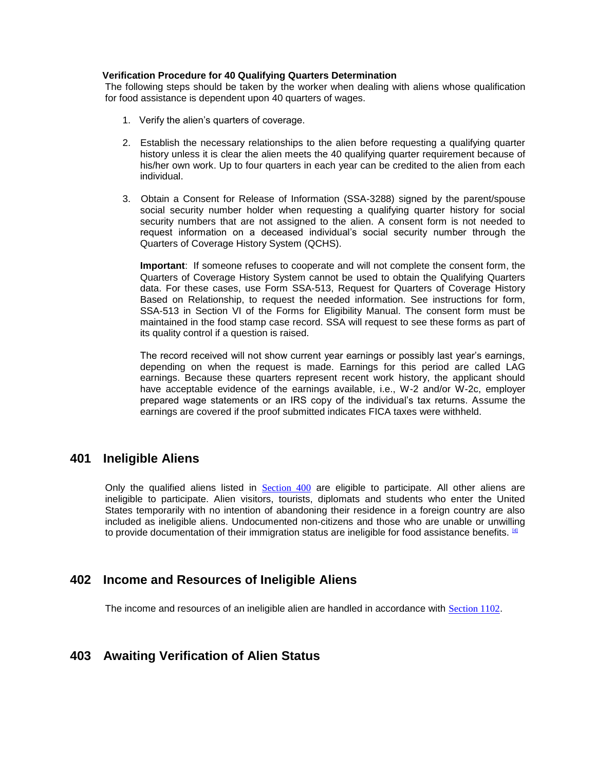#### **Verification Procedure for 40 Qualifying Quarters Determination**

The following steps should be taken by the worker when dealing with aliens whose qualification for food assistance is dependent upon 40 quarters of wages.

- 1. Verify the alien's quarters of coverage.
- 2. Establish the necessary relationships to the alien before requesting a qualifying quarter history unless it is clear the alien meets the 40 qualifying quarter requirement because of his/her own work. Up to four quarters in each year can be credited to the alien from each individual.
- 3. Obtain a Consent for Release of Information (SSA-3288) signed by the parent/spouse social security number holder when requesting a qualifying quarter history for social security numbers that are not assigned to the alien. A consent form is not needed to request information on a deceased individual's social security number through the Quarters of Coverage History System (QCHS).

**Important**: If someone refuses to cooperate and will not complete the consent form, the Quarters of Coverage History System cannot be used to obtain the Qualifying Quarters data. For these cases, use Form SSA-513, Request for Quarters of Coverage History Based on Relationship, to request the needed information. See instructions for form, SSA-513 in Section VI of the Forms for Eligibility Manual. The consent form must be maintained in the food stamp case record. SSA will request to see these forms as part of its quality control if a question is raised.

The record received will not show current year earnings or possibly last year's earnings, depending on when the request is made. Earnings for this period are called LAG earnings. Because these quarters represent recent work history, the applicant should have acceptable evidence of the earnings available, i.e., W-2 and/or W-2c, employer prepared wage statements or an IRS copy of the individual's tax returns. Assume the earnings are covered if the proof submitted indicates FICA taxes were withheld.

### **401 Ineligible Aliens**

Only the qualified aliens listed in [Section 400](http://dhr.alabama.gov/POE/chapter/CHAPTER%2004.htm#Section_400) are eligible to participate. All other aliens are ineligible to participate. Alien visitors, tourists, diplomats and students who enter the United States temporarily with no intention of abandoning their residence in a foreign country are also included as ineligible aliens. Undocumented non-citizens and those who are unable or unwilling to provide documentation of their immigration status are ineligible for food assistance benefits.  $[4]$ 

### **402 Income and Resources of Ineligible Aliens**

The income and resources of an ineligible alien are handled in accordance with [Section 1102](http://dhr.alabama.gov/POE/chapter/CHAPTER%20111.htm#Section_1102).

### **403 Awaiting Verification of Alien Status**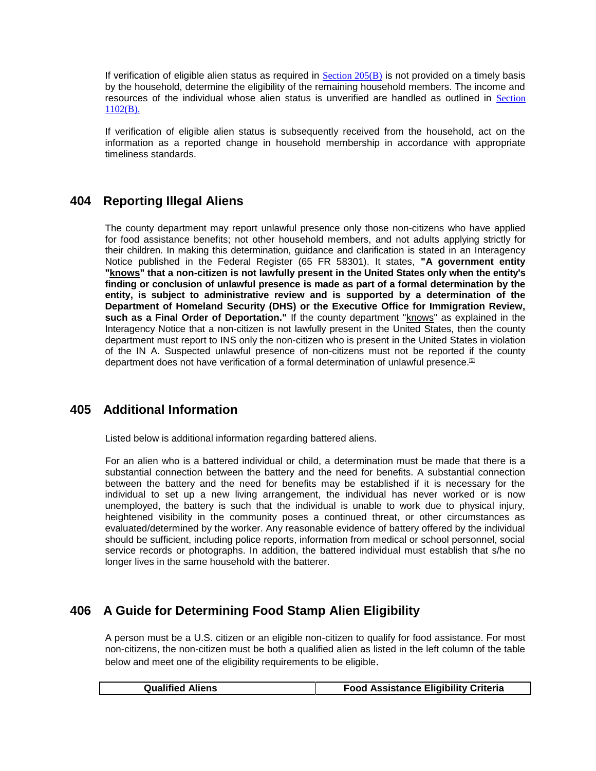If verification of eligible alien status as required in  $Section\ 205(B)$  is not provided on a timely basis by the household, determine the eligibility of the remaining household members. The income and resources of the individual whose alien status is unverified are handled as outlined in [Section](http://dhr.alabama.gov/POE/chapter/CHAPTER%20111.htm#Section_1102_B)  [1102\(B\).](http://dhr.alabama.gov/POE/chapter/CHAPTER%20111.htm#Section_1102_B)

If verification of eligible alien status is subsequently received from the household, act on the information as a reported change in household membership in accordance with appropriate timeliness standards.

### **404 Reporting Illegal Aliens**

The county department may report unlawful presence only those non-citizens who have applied for food assistance benefits; not other household members, and not adults applying strictly for their children. In making this determination, guidance and clarification is stated in an Interagency Notice published in the Federal Register (65 FR 58301). It states, **"A government entity "knows" that a non-citizen is not lawfully present in the United States only when the entity's finding or conclusion of unlawful presence is made as part of a formal determination by the entity, is subject to administrative review and is supported by a determination of the Department of Homeland Security (DHS) or the Executive Office for Immigration Review, such as a Final Order of Deportation."** If the county department "knows" as explained in the Interagency Notice that a non-citizen is not lawfully present in the United States, then the county department must report to INS only the non-citizen who is present in the United States in violation of the IN A. Suspected unlawful presence of non-citizens must not be reported if the county department does not have verification of a formal determination of unlawful presence.<sup>[\[5\]](http://dhr.alabama.gov/POE/chapter/CHAPTER%2004.htm#_ftn5)</sup>

## **405 Additional Information**

Listed below is additional information regarding battered aliens.

For an alien who is a battered individual or child, a determination must be made that there is a substantial connection between the battery and the need for benefits. A substantial connection between the battery and the need for benefits may be established if it is necessary for the individual to set up a new living arrangement, the individual has never worked or is now unemployed, the battery is such that the individual is unable to work due to physical injury, heightened visibility in the community poses a continued threat, or other circumstances as evaluated/determined by the worker. Any reasonable evidence of battery offered by the individual should be sufficient, including police reports, information from medical or school personnel, social service records or photographs. In addition, the battered individual must establish that s/he no longer lives in the same household with the batterer.

## **406 A Guide for Determining Food Stamp Alien Eligibility**

A person must be a U.S. citizen or an eligible non-citizen to qualify for food assistance. For most non-citizens, the non-citizen must be both a qualified alien as listed in the left column of the table below and meet one of the eligibility requirements to be eligible.

| <b>Food Assistance Eligibility Criteria</b><br><b>Qualified Aliens</b> |
|------------------------------------------------------------------------|
|------------------------------------------------------------------------|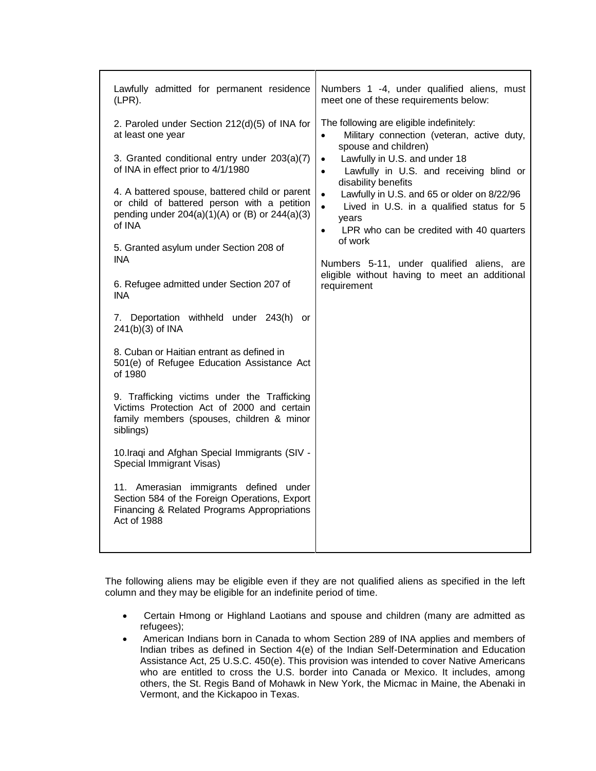| Lawfully admitted for permanent residence<br>$(LPR)$ .                                                                                                        | Numbers 1 -4, under qualified aliens, must<br>meet one of these requirements below:                                                                                                                                                                                                                                                                                                                                                                                                                                                                                      |
|---------------------------------------------------------------------------------------------------------------------------------------------------------------|--------------------------------------------------------------------------------------------------------------------------------------------------------------------------------------------------------------------------------------------------------------------------------------------------------------------------------------------------------------------------------------------------------------------------------------------------------------------------------------------------------------------------------------------------------------------------|
| 2. Paroled under Section 212(d)(5) of INA for<br>at least one year<br>3. Granted conditional entry under 203(a)(7)<br>of INA in effect prior to 4/1/1980      | The following are eligible indefinitely:<br>Military connection (veteran, active duty,<br>$\bullet$<br>spouse and children)<br>Lawfully in U.S. and under 18<br>$\bullet$<br>Lawfully in U.S. and receiving blind or<br>$\bullet$<br>disability benefits<br>Lawfully in U.S. and 65 or older on 8/22/96<br>$\bullet$<br>$\bullet$<br>Lived in U.S. in a qualified status for 5<br>years<br>LPR who can be credited with 40 quarters<br>$\bullet$<br>of work<br>Numbers 5-11, under qualified aliens, are<br>eligible without having to meet an additional<br>requirement |
| 4. A battered spouse, battered child or parent<br>or child of battered person with a petition<br>pending under $204(a)(1)(A)$ or (B) or $244(a)(3)$<br>of INA |                                                                                                                                                                                                                                                                                                                                                                                                                                                                                                                                                                          |
| 5. Granted asylum under Section 208 of<br><b>INA</b><br>6. Refugee admitted under Section 207 of<br><b>INA</b>                                                |                                                                                                                                                                                                                                                                                                                                                                                                                                                                                                                                                                          |
| 7. Deportation withheld under 243(h)<br><b>or</b><br>241(b)(3) of INA                                                                                         |                                                                                                                                                                                                                                                                                                                                                                                                                                                                                                                                                                          |
| 8. Cuban or Haitian entrant as defined in<br>501(e) of Refugee Education Assistance Act<br>of 1980                                                            |                                                                                                                                                                                                                                                                                                                                                                                                                                                                                                                                                                          |
| 9. Trafficking victims under the Trafficking<br>Victims Protection Act of 2000 and certain<br>family members (spouses, children & minor<br>siblings)          |                                                                                                                                                                                                                                                                                                                                                                                                                                                                                                                                                                          |
| 10. Iraqi and Afghan Special Immigrants (SIV -<br>Special Immigrant Visas)                                                                                    |                                                                                                                                                                                                                                                                                                                                                                                                                                                                                                                                                                          |
| 11. Amerasian immigrants defined under<br>Section 584 of the Foreign Operations, Export<br>Financing & Related Programs Appropriations<br>Act of 1988         |                                                                                                                                                                                                                                                                                                                                                                                                                                                                                                                                                                          |
|                                                                                                                                                               |                                                                                                                                                                                                                                                                                                                                                                                                                                                                                                                                                                          |

The following aliens may be eligible even if they are not qualified aliens as specified in the left column and they may be eligible for an indefinite period of time.

- Certain Hmong or Highland Laotians and spouse and children (many are admitted as refugees);
- American Indians born in Canada to whom Section 289 of INA applies and members of Indian tribes as defined in Section 4(e) of the Indian Self-Determination and Education Assistance Act, 25 U.S.C. 450(e). This provision was intended to cover Native Americans who are entitled to cross the U.S. border into Canada or Mexico. It includes, among others, the St. Regis Band of Mohawk in New York, the Micmac in Maine, the Abenaki in Vermont, and the Kickapoo in Texas.